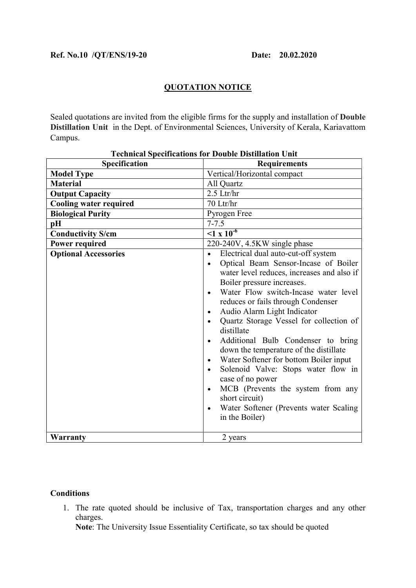## QUOTATION NOTICE

Sealed quotations are invited from the eligible firms for the supply and installation of Double Distillation Unit in the Dept. of Environmental Sciences, University of Kerala, Kariavattom Campus.

| <b>Technical Specifications for Double Distillation Unit</b> |                                                                                                                                                                                                                                                                                                                                                                                                                                                                                                                                                                                                                                                                                                                                                                         |
|--------------------------------------------------------------|-------------------------------------------------------------------------------------------------------------------------------------------------------------------------------------------------------------------------------------------------------------------------------------------------------------------------------------------------------------------------------------------------------------------------------------------------------------------------------------------------------------------------------------------------------------------------------------------------------------------------------------------------------------------------------------------------------------------------------------------------------------------------|
| Specification                                                | <b>Requirements</b>                                                                                                                                                                                                                                                                                                                                                                                                                                                                                                                                                                                                                                                                                                                                                     |
| <b>Model Type</b>                                            | Vertical/Horizontal compact                                                                                                                                                                                                                                                                                                                                                                                                                                                                                                                                                                                                                                                                                                                                             |
| <b>Material</b>                                              | All Quartz                                                                                                                                                                                                                                                                                                                                                                                                                                                                                                                                                                                                                                                                                                                                                              |
| <b>Output Capacity</b>                                       | $2.5$ Ltr/hr                                                                                                                                                                                                                                                                                                                                                                                                                                                                                                                                                                                                                                                                                                                                                            |
| <b>Cooling water required</b>                                | 70 Ltr/hr                                                                                                                                                                                                                                                                                                                                                                                                                                                                                                                                                                                                                                                                                                                                                               |
| <b>Biological Purity</b>                                     | Pyrogen Free                                                                                                                                                                                                                                                                                                                                                                                                                                                                                                                                                                                                                                                                                                                                                            |
| pH                                                           | $7 - 7.5$                                                                                                                                                                                                                                                                                                                                                                                                                                                                                                                                                                                                                                                                                                                                                               |
| <b>Conductivity S/cm</b>                                     | $\sqrt{1 \times 10^{-6}}$                                                                                                                                                                                                                                                                                                                                                                                                                                                                                                                                                                                                                                                                                                                                               |
| <b>Power required</b>                                        | 220-240V, 4.5KW single phase                                                                                                                                                                                                                                                                                                                                                                                                                                                                                                                                                                                                                                                                                                                                            |
| <b>Optional Accessories</b>                                  | Electrical dual auto-cut-off system<br>$\bullet$<br>Optical Beam Sensor-Incase of Boiler<br>$\bullet$<br>water level reduces, increases and also if<br>Boiler pressure increases.<br>Water Flow switch-Incase water level<br>$\bullet$<br>reduces or fails through Condenser<br>Audio Alarm Light Indicator<br>$\bullet$<br>Quartz Storage Vessel for collection of<br>$\bullet$<br>distillate<br>Additional Bulb Condenser to bring<br>$\bullet$<br>down the temperature of the distillate<br>Water Softener for bottom Boiler input<br>$\bullet$<br>Solenoid Valve: Stops water flow in<br>$\bullet$<br>case of no power<br>MCB (Prevents the system from any<br>$\bullet$<br>short circuit)<br>Water Softener (Prevents water Scaling<br>$\bullet$<br>in the Boiler) |
| <b>Warranty</b>                                              | 2 years                                                                                                                                                                                                                                                                                                                                                                                                                                                                                                                                                                                                                                                                                                                                                                 |

## **Conditions**

1. The rate quoted should be inclusive of Tax, transportation charges and any other charges.

Note: The University Issue Essentiality Certificate, so tax should be quoted